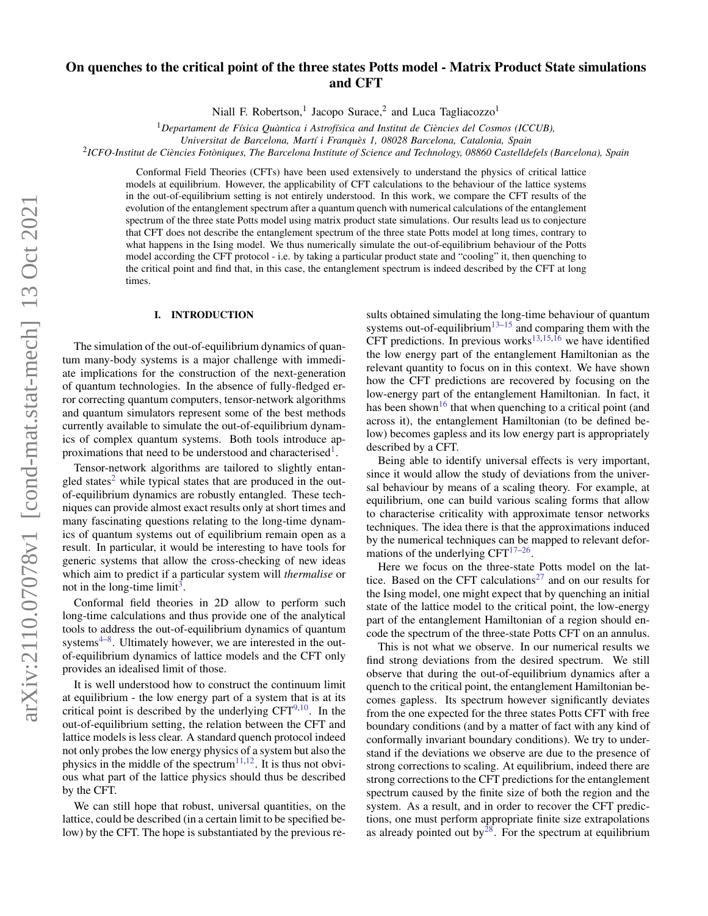# arXiv:2110.07078v1 [cond-mat.stat-mech] 13 Oct 2021 arXiv:2110.07078v1 [cond-mat.stat-mech] 13 Oct 2021

# On quenches to the critical point of the three states Potts model - Matrix Product State simulations and CFT

Niall F. Robertson,<sup>1</sup> Jacopo Surace,<sup>2</sup> and Luca Tagliacozzo<sup>1</sup>

<sup>1</sup>Departament de Física Quàntica i Astrofísica and Institut de Ciències del Cosmos (ICCUB),

2 *ICFO-Institut de Ciencies Fot ` oniques, The Barcelona Institute of Science and Technology, 08860 Castelldefels (Barcelona), Spain `*

Conformal Field Theories (CFTs) have been used extensively to understand the physics of critical lattice models at equilibrium. However, the applicability of CFT calculations to the behaviour of the lattice systems in the out-of-equilibrium setting is not entirely understood. In this work, we compare the CFT results of the evolution of the entanglement spectrum after a quantum quench with numerical calculations of the entanglement spectrum of the three state Potts model using matrix product state simulations. Our results lead us to conjecture that CFT does not describe the entanglement spectrum of the three state Potts model at long times, contrary to what happens in the Ising model. We thus numerically simulate the out-of-equilibrium behaviour of the Potts model according the CFT protocol - i.e. by taking a particular product state and "cooling" it, then quenching to the critical point and find that, in this case, the entanglement spectrum is indeed described by the CFT at long times.

# I. INTRODUCTION

The simulation of the out-of-equilibrium dynamics of quantum many-body systems is a major challenge with immediate implications for the construction of the next-generation of quantum technologies. In the absence of fully-fledged error correcting quantum computers, tensor-network algorithms and quantum simulators represent some of the best methods currently available to simulate the out-of-equilibrium dynamics of complex quantum systems. Both tools introduce ap-proximations that need to be understood and characterised<sup>[1](#page-8-0)</sup>.

Tensor-network algorithms are tailored to slightly entan-gled states<sup>[2](#page-8-1)</sup> while typical states that are produced in the outof-equilibrium dynamics are robustly entangled. These techniques can provide almost exact results only at short times and many fascinating questions relating to the long-time dynamics of quantum systems out of equilibrium remain open as a result. In particular, it would be interesting to have tools for generic systems that allow the cross-checking of new ideas which aim to predict if a particular system will *thermalise* or not in the long-time limit<sup>[3](#page-8-2)</sup>.

Conformal field theories in 2D allow to perform such long-time calculations and thus provide one of the analytical tools to address the out-of-equilibrium dynamics of quantum systems<sup>[4](#page-8-3)-8</sup>. Ultimately however, we are interested in the outof-equilibrium dynamics of lattice models and the CFT only provides an idealised limit of those.

It is well understood how to construct the continuum limit at equilibrium - the low energy part of a system that is at its critical point is described by the underlying  $CFT^{9,10}$  $CFT^{9,10}$  $CFT^{9,10}$  $CFT^{9,10}$ . In the out-of-equilibrium setting, the relation between the CFT and lattice models is less clear. A standard quench protocol indeed not only probes the low energy physics of a system but also the physics in the middle of the spectrum<sup>[11,](#page-8-7)[12](#page-8-8)</sup>. It is thus not obvious what part of the lattice physics should thus be described by the CFT.

We can still hope that robust, universal quantities, on the lattice, could be described (in a certain limit to be specified below) by the CFT. The hope is substantiated by the previous re-

sults obtained simulating the long-time behaviour of quantum systems out-of-equilibrium<sup>[13](#page-8-9)[–15](#page-8-10)</sup> and comparing them with the CFT predictions. In previous works<sup>[13,](#page-8-9)[15,](#page-8-10)[16](#page-8-11)</sup> we have identified the low energy part of the entanglement Hamiltonian as the relevant quantity to focus on in this context. We have shown how the CFT predictions are recovered by focusing on the low-energy part of the entanglement Hamiltonian. In fact, it has been shown<sup>[16](#page-8-11)</sup> that when quenching to a critical point (and across it), the entanglement Hamiltonian (to be defined below) becomes gapless and its low energy part is appropriately described by a CFT.

Being able to identify universal effects is very important, since it would allow the study of deviations from the universal behaviour by means of a scaling theory. For example, at equilibrium, one can build various scaling forms that allow to characterise criticality with approximate tensor networks techniques. The idea there is that the approximations induced by the numerical techniques can be mapped to relevant deformations of the underlying  $CFT^{17-26}$  $CFT^{17-26}$  $CFT^{17-26}$ .

Here we focus on the three-state Potts model on the lat-tice. Based on the CFT calculations<sup>[27](#page-8-14)</sup> and on our results for the Ising model, one might expect that by quenching an initial state of the lattice model to the critical point, the low-energy part of the entanglement Hamiltonian of a region should encode the spectrum of the three-state Potts CFT on an annulus.

This is not what we observe. In our numerical results we find strong deviations from the desired spectrum. We still observe that during the out-of-equilibrium dynamics after a quench to the critical point, the entanglement Hamiltonian becomes gapless. Its spectrum however significantly deviates from the one expected for the three states Potts CFT with free boundary conditions (and by a matter of fact with any kind of conformally invariant boundary conditions). We try to understand if the deviations we observe are due to the presence of strong corrections to scaling. At equilibrium, indeed there are strong corrections to the CFT predictions for the entanglement spectrum caused by the finite size of both the region and the system. As a result, and in order to recover the CFT predictions, one must perform appropriate finite size extrapolations as already pointed out by $^{28}$  $^{28}$  $^{28}$ . For the spectrum at equilibrium

*Universitat de Barcelona, Mart´ı i Franques 1, 08028 Barcelona, Catalonia, Spain `*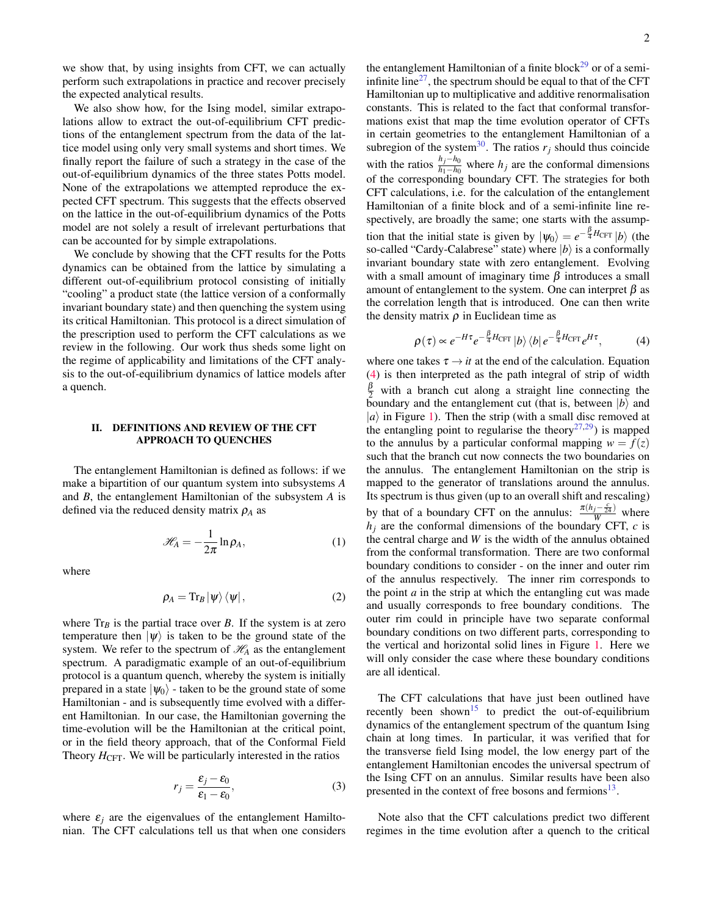we show that, by using insights from CFT, we can actually perform such extrapolations in practice and recover precisely the expected analytical results.

We also show how, for the Ising model, similar extrapolations allow to extract the out-of-equilibrium CFT predictions of the entanglement spectrum from the data of the lattice model using only very small systems and short times. We finally report the failure of such a strategy in the case of the out-of-equilibrium dynamics of the three states Potts model. None of the extrapolations we attempted reproduce the expected CFT spectrum. This suggests that the effects observed on the lattice in the out-of-equilibrium dynamics of the Potts model are not solely a result of irrelevant perturbations that can be accounted for by simple extrapolations.

We conclude by showing that the CFT results for the Potts dynamics can be obtained from the lattice by simulating a different out-of-equilibrium protocol consisting of initially "cooling" a product state (the lattice version of a conformally invariant boundary state) and then quenching the system using its critical Hamiltonian. This protocol is a direct simulation of the prescription used to perform the CFT calculations as we review in the following. Our work thus sheds some light on the regime of applicability and limitations of the CFT analysis to the out-of-equilibrium dynamics of lattice models after a quench.

# <span id="page-1-2"></span>II. DEFINITIONS AND REVIEW OF THE CFT APPROACH TO QUENCHES

The entanglement Hamiltonian is defined as follows: if we make a bipartition of our quantum system into subsystems *A* and *B*, the entanglement Hamiltonian of the subsystem *A* is defined via the reduced density matrix  $\rho_A$  as

$$
\mathcal{H}_A = -\frac{1}{2\pi} \ln \rho_A, \tag{1}
$$

where

$$
\rho_A = \text{Tr}_B |\psi\rangle \langle \psi| \,, \tag{2}
$$

where  $Tr_B$  is the partial trace over *B*. If the system is at zero temperature then  $|\psi\rangle$  is taken to be the ground state of the system. We refer to the spectrum of  $\mathcal{H}_A$  as the entanglement spectrum. A paradigmatic example of an out-of-equilibrium protocol is a quantum quench, whereby the system is initially prepared in a state  $|\psi_0\rangle$  - taken to be the ground state of some Hamiltonian - and is subsequently time evolved with a different Hamiltonian. In our case, the Hamiltonian governing the time-evolution will be the Hamiltonian at the critical point, or in the field theory approach, that of the Conformal Field Theory  $H_{\text{CFT}}$ . We will be particularly interested in the ratios

$$
r_j = \frac{\varepsilon_j - \varepsilon_0}{\varepsilon_1 - \varepsilon_0},\tag{3}
$$

where  $\varepsilon_i$  are the eigenvalues of the entanglement Hamiltonian. The CFT calculations tell us that when one considers the entanglement Hamiltonian of a finite block<sup>[29](#page-8-16)</sup> or of a semi-infinite line<sup>[27](#page-8-14)</sup>, the spectrum should be equal to that of the CFT Hamiltonian up to multiplicative and additive renormalisation constants. This is related to the fact that conformal transformations exist that map the time evolution operator of CFTs in certain geometries to the entanglement Hamiltonian of a subregion of the system<sup>[30](#page-8-17)</sup>. The ratios  $r_j$  should thus coincide with the ratios  $\frac{h_j-h_0}{h_1-h_0}$  where *h<sub>j</sub>* are the conformal dimensions of the corresponding boundary CFT. The strategies for both CFT calculations, i.e. for the calculation of the entanglement Hamiltonian of a finite block and of a semi-infinite line respectively, are broadly the same; one starts with the assumption that the initial state is given by  $|\psi_0\rangle = e^{-\frac{\beta}{4}H_{\text{CFT}}} |b\rangle$  (the so-called "Cardy-Calabrese" state) where  $|b\rangle$  is a conformally invariant boundary state with zero entanglement. Evolving with a small amount of imaginary time  $\beta$  introduces a small amount of entanglement to the system. One can interpret  $\beta$  as the correlation length that is introduced. One can then write the density matrix  $\rho$  in Euclidean time as

<span id="page-1-0"></span>
$$
\rho(\tau) \propto e^{-H\tau} e^{-\frac{\beta}{4}H_{\rm CFT}} |b\rangle \langle b| e^{-\frac{\beta}{4}H_{\rm CFT}} e^{H\tau}, \tag{4}
$$

where one takes  $\tau \rightarrow it$  at the end of the calculation. Equation [\(4\)](#page-1-0) is then interpreted as the path integral of strip of width  $\frac{\beta}{2}$  with a branch cut along a straight line connecting the boundary and the entanglement cut (that is, between  $|b\rangle$  and  $|a\rangle$  in Figure [1\)](#page-2-0). Then the strip (with a small disc removed at the entangling point to regularise the theory<sup>[27,](#page-8-14)[29](#page-8-16)</sup>) is mapped to the annulus by a particular conformal mapping  $w = f(z)$ such that the branch cut now connects the two boundaries on the annulus. The entanglement Hamiltonian on the strip is mapped to the generator of translations around the annulus. Its spectrum is thus given (up to an overall shift and rescaling) by that of a boundary CFT on the annulus:  $\frac{\pi(h_j - \frac{c}{24})}{W}$  where  $h_i$  are the conformal dimensions of the boundary CFT,  $c$  is the central charge and *W* is the width of the annulus obtained from the conformal transformation. There are two conformal boundary conditions to consider - on the inner and outer rim of the annulus respectively. The inner rim corresponds to the point  $a$  in the strip at which the entangling cut was made and usually corresponds to free boundary conditions. The outer rim could in principle have two separate conformal boundary conditions on two different parts, corresponding to the vertical and horizontal solid lines in Figure [1.](#page-2-0) Here we will only consider the case where these boundary conditions are all identical.

<span id="page-1-1"></span>The CFT calculations that have just been outlined have recently been shown<sup>[15](#page-8-10)</sup> to predict the out-of-equilibrium dynamics of the entanglement spectrum of the quantum Ising chain at long times. In particular, it was verified that for the transverse field Ising model, the low energy part of the entanglement Hamiltonian encodes the universal spectrum of the Ising CFT on an annulus. Similar results have been also presented in the context of free bosons and fermions<sup>[13](#page-8-9)</sup>.

Note also that the CFT calculations predict two different regimes in the time evolution after a quench to the critical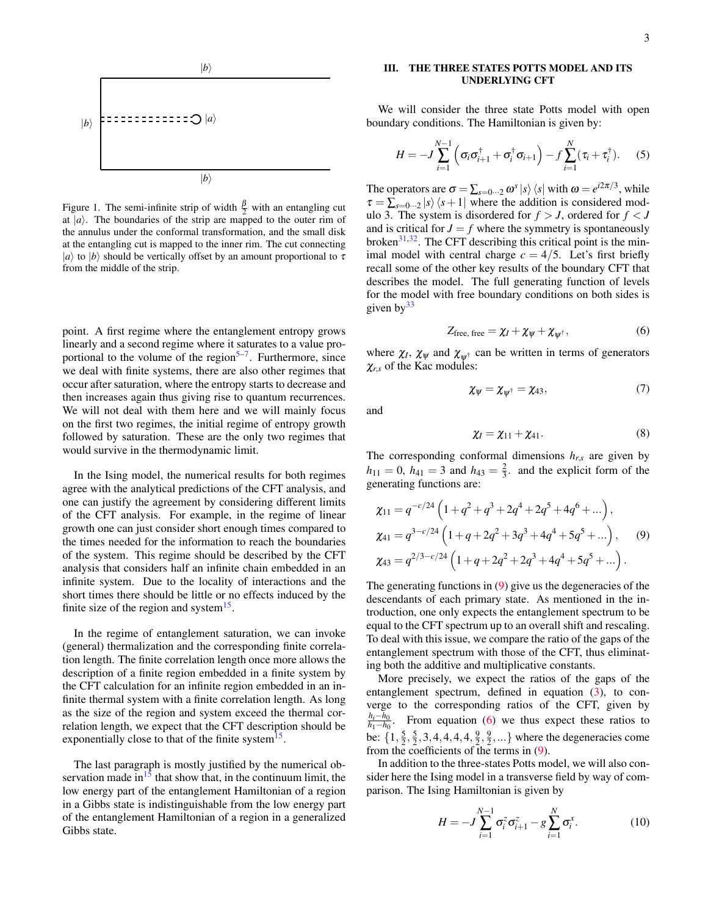$$
|b\rangle
$$
\n
$$
\left| \frac{1}{b}\right\rangle
$$
\n
$$
\left| \frac{1}{c} \right\rangle
$$
\n
$$
\left| \frac{1}{c} \right\rangle
$$
\n
$$
\left| \frac{1}{b} \right\rangle
$$

<span id="page-2-0"></span>Figure 1. The semi-infinite strip of width  $\frac{\beta}{2}$  with an entangling cut at  $|a\rangle$ . The boundaries of the strip are mapped to the outer rim of the annulus under the conformal transformation, and the small disk at the entangling cut is mapped to the inner rim. The cut connecting  $|a\rangle$  to  $|b\rangle$  should be vertically offset by an amount proportional to  $\tau$ from the middle of the strip.

point. A first regime where the entanglement entropy grows linearly and a second regime where it saturates to a value pro-portional to the volume of the region<sup>[5](#page-8-18)-7</sup>. Furthermore, since we deal with finite systems, there are also other regimes that occur after saturation, where the entropy starts to decrease and then increases again thus giving rise to quantum recurrences. We will not deal with them here and we will mainly focus on the first two regimes, the initial regime of entropy growth followed by saturation. These are the only two regimes that would survive in the thermodynamic limit.

In the Ising model, the numerical results for both regimes agree with the analytical predictions of the CFT analysis, and one can justify the agreement by considering different limits of the CFT analysis. For example, in the regime of linear growth one can just consider short enough times compared to the times needed for the information to reach the boundaries of the system. This regime should be described by the CFT analysis that considers half an infinite chain embedded in an infinite system. Due to the locality of interactions and the short times there should be little or no effects induced by the finite size of the region and system $^{15}$  $^{15}$  $^{15}$ .

In the regime of entanglement saturation, we can invoke (general) thermalization and the corresponding finite correlation length. The finite correlation length once more allows the description of a finite region embedded in a finite system by the CFT calculation for an infinite region embedded in an infinite thermal system with a finite correlation length. As long as the size of the region and system exceed the thermal correlation length, we expect that the CFT description should be exponentially close to that of the finite system<sup>[15](#page-8-10)</sup>.

The last paragraph is mostly justified by the numerical observation made in $15$  that show that, in the continuum limit, the low energy part of the entanglement Hamiltonian of a region in a Gibbs state is indistinguishable from the low energy part of the entanglement Hamiltonian of a region in a generalized Gibbs state.

# III. THE THREE STATES POTTS MODEL AND ITS UNDERLYING CFT

We will consider the three state Potts model with open boundary conditions. The Hamiltonian is given by:

<span id="page-2-3"></span>
$$
H = -J\sum_{i=1}^{N-1} \left( \sigma_i \sigma_{i+1}^{\dagger} + \sigma_i^{\dagger} \sigma_{i+1} \right) - f \sum_{i=1}^{N} (\tau_i + \tau_i^{\dagger}). \tag{5}
$$

The operators are  $\sigma = \sum_{s=0...2} \omega^s |s\rangle \langle s|$  with  $\omega = e^{i2\pi/3}$ , while  $\tau = \sum_{s=0...2} |s\rangle\langle s+1|$  where the addition is considered modulo 3. The system is disordered for  $f > J$ , ordered for  $f < J$ and is critical for  $J = f$  where the symmetry is spontaneously broken $31,32$  $31,32$ . The CFT describing this critical point is the minimal model with central charge  $c = 4/5$ . Let's first briefly recall some of the other key results of the boundary CFT that describes the model. The full generating function of levels for the model with free boundary conditions on both sides is given  $by^{33}$  $by^{33}$  $by^{33}$ 

<span id="page-2-2"></span>
$$
Z_{\text{free, free}} = \chi_I + \chi_{\psi} + \chi_{\psi^{\dagger}}, \qquad (6)
$$

where  $\chi_l$ ,  $\chi_{\psi}$  and  $\chi_{\psi^{\dagger}}$  can be written in terms of generators  $\chi_{r,s}$  of the Kac modules:

$$
\chi_{\psi} = \chi_{\psi^{\dagger}} = \chi_{43},\tag{7}
$$

and

<span id="page-2-1"></span>
$$
\chi_I = \chi_{11} + \chi_{41}.\tag{8}
$$

The corresponding conformal dimensions  $h_{r,s}$  are given by  $h_{11} = 0$ ,  $h_{41} = 3$  and  $h_{43} = \frac{2}{3}$ . and the explicit form of the generating functions are:

$$
\chi_{11} = q^{-c/24} \left( 1 + q^2 + q^3 + 2q^4 + 2q^5 + 4q^6 + \dots \right),
$$
  
\n
$$
\chi_{41} = q^{3-c/24} \left( 1 + q + 2q^2 + 3q^3 + 4q^4 + 5q^5 + \dots \right),
$$
  
\n
$$
\chi_{43} = q^{2/3-c/24} \left( 1 + q + 2q^2 + 2q^3 + 4q^4 + 5q^5 + \dots \right).
$$
  
\n(9)

The generating functions in [\(9\)](#page-2-1) give us the degeneracies of the descendants of each primary state. As mentioned in the introduction, one only expects the entanglement spectrum to be equal to the CFT spectrum up to an overall shift and rescaling. To deal with this issue, we compare the ratio of the gaps of the entanglement spectrum with those of the CFT, thus eliminating both the additive and multiplicative constants.

More precisely, we expect the ratios of the gaps of the entanglement spectrum, defined in equation [\(3\)](#page-1-1), to converge to the corresponding ratios of the CFT, given by *hi*−*h*<sup>0</sup>  $\frac{n_i - n_0}{h_1 - h_0}$ . From equation [\(6\)](#page-2-2) we thus expect these ratios to be:  $\{1, \frac{5}{2}, \frac{5}{2}, 3, 4, 4, 4, 4, \frac{9}{2}, \frac{9}{2}, ...\}$  where the degeneracies come from the coefficients of the terms in [\(9\)](#page-2-1).

In addition to the three-states Potts model, we will also consider here the Ising model in a transverse field by way of comparison. The Ising Hamiltonian is given by

<span id="page-2-4"></span>
$$
H = -J\sum_{i=1}^{N-1} \sigma_i^z \sigma_{i+1}^z - g\sum_{i=1}^N \sigma_i^x.
$$
 (10)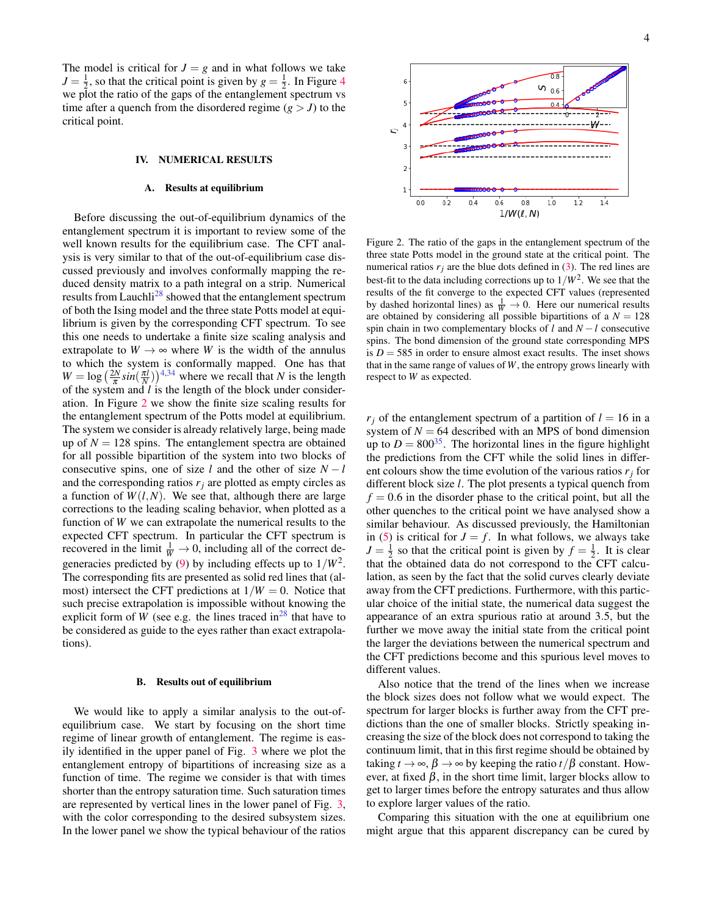The model is critical for  $J = g$  and in what follows we take  $J = \frac{1}{2}$ , so that the critical point is given by  $g = \frac{1}{2}$ . In Figure [4](#page-4-0) we plot the ratio of the gaps of the entanglement spectrum vs time after a quench from the disordered regime  $(g > J)$  to the critical point.

### IV. NUMERICAL RESULTS

### <span id="page-3-1"></span>A. Results at equilibrium

Before discussing the out-of-equilibrium dynamics of the entanglement spectrum it is important to review some of the well known results for the equilibrium case. The CFT analysis is very similar to that of the out-of-equilibrium case discussed previously and involves conformally mapping the reduced density matrix to a path integral on a strip. Numerical results from Lauchli<sup>[28](#page-8-15)</sup> showed that the entanglement spectrum of both the Ising model and the three state Potts model at equilibrium is given by the corresponding CFT spectrum. To see this one needs to undertake a finite size scaling analysis and extrapolate to  $W \rightarrow \infty$  where *W* is the width of the annulus to which the system is conformally mapped. One has that  $W = \log \left( \frac{2N}{\pi} \sin \left( \frac{\pi l}{N} \right) \right)$ <sup>[4,](#page-8-3)[34](#page-8-23)</sup> where we recall that *N* is the length of the system and *l* is the length of the block under consideration. In Figure [2](#page-3-0) we show the finite size scaling results for the entanglement spectrum of the Potts model at equilibrium. The system we consider is already relatively large, being made up of  $N = 128$  spins. The entanglement spectra are obtained for all possible bipartition of the system into two blocks of consecutive spins, one of size *l* and the other of size  $N - l$ and the corresponding ratios  $r_j$  are plotted as empty circles as a function of  $W(l,N)$ . We see that, although there are large corrections to the leading scaling behavior, when plotted as a function of *W* we can extrapolate the numerical results to the expected CFT spectrum. In particular the CFT spectrum is recovered in the limit  $\frac{1}{W} \rightarrow 0$ , including all of the correct de-generacies predicted by [\(9\)](#page-2-1) by including effects up to  $1/W^2$ . The corresponding fits are presented as solid red lines that (almost) intersect the CFT predictions at  $1/W = 0$ . Notice that such precise extrapolation is impossible without knowing the explicit form of *W* (see e.g. the lines traced in<sup>[28](#page-8-15)</sup> that have to be considered as guide to the eyes rather than exact extrapolations).

### B. Results out of equilibrium

We would like to apply a similar analysis to the out-ofequilibrium case. We start by focusing on the short time regime of linear growth of entanglement. The regime is easily identified in the upper panel of Fig. [3](#page-4-1) where we plot the entanglement entropy of bipartitions of increasing size as a function of time. The regime we consider is that with times shorter than the entropy saturation time. Such saturation times are represented by vertical lines in the lower panel of Fig. [3,](#page-4-1) with the color corresponding to the desired subsystem sizes. In the lower panel we show the typical behaviour of the ratios



<span id="page-3-0"></span>Figure 2. The ratio of the gaps in the entanglement spectrum of the three state Potts model in the ground state at the critical point. The numerical ratios  $r_j$  are the blue dots defined in [\(3\)](#page-1-1). The red lines are best-fit to the data including corrections up to  $1/W^2$ . We see that the results of the fit converge to the expected CFT values (represented by dashed horizontal lines) as  $\frac{1}{W} \rightarrow 0$ . Here our numerical results are obtained by considering all possible bipartitions of a  $N = 128$ spin chain in two complementary blocks of *l* and *N* − *l* consecutive spins. The bond dimension of the ground state corresponding MPS is  $D = 585$  in order to ensure almost exact results. The inset shows that in the same range of values of *W*, the entropy grows linearly with respect to *W* as expected.

 $r_i$  of the entanglement spectrum of a partition of  $l = 16$  in a system of  $N = 64$  described with an MPS of bond dimension up to  $D = 800^{35}$  $D = 800^{35}$  $D = 800^{35}$ . The horizontal lines in the figure highlight the predictions from the CFT while the solid lines in different colours show the time evolution of the various ratios  $r_j$  for different block size *l*. The plot presents a typical quench from  $f = 0.6$  in the disorder phase to the critical point, but all the other quenches to the critical point we have analysed show a similar behaviour. As discussed previously, the Hamiltonian in [\(5\)](#page-2-3) is critical for  $J = f$ . In what follows, we always take  $J = \frac{1}{2}$  so that the critical point is given by  $f = \frac{1}{2}$ . It is clear that the obtained data do not correspond to the CFT calculation, as seen by the fact that the solid curves clearly deviate away from the CFT predictions. Furthermore, with this particular choice of the initial state, the numerical data suggest the appearance of an extra spurious ratio at around 3.5, but the further we move away the initial state from the critical point the larger the deviations between the numerical spectrum and the CFT predictions become and this spurious level moves to different values.

Also notice that the trend of the lines when we increase the block sizes does not follow what we would expect. The spectrum for larger blocks is further away from the CFT predictions than the one of smaller blocks. Strictly speaking increasing the size of the block does not correspond to taking the continuum limit, that in this first regime should be obtained by taking  $t \to \infty$ ,  $\beta \to \infty$  by keeping the ratio  $t/\beta$  constant. However, at fixed  $\beta$ , in the short time limit, larger blocks allow to get to larger times before the entropy saturates and thus allow to explore larger values of the ratio.

Comparing this situation with the one at equilibrium one might argue that this apparent discrepancy can be cured by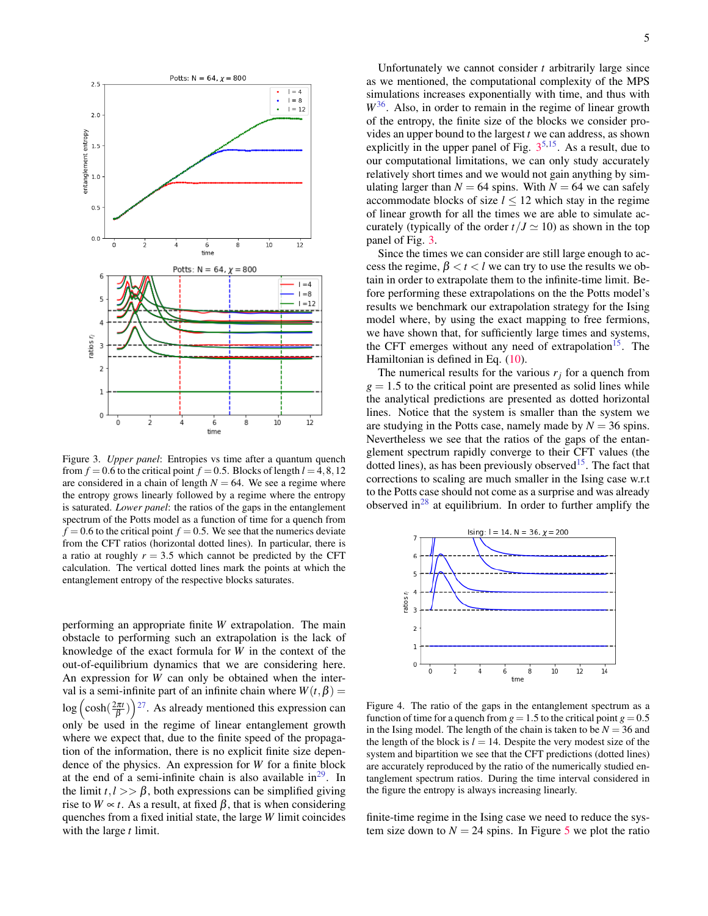

<span id="page-4-1"></span>Figure 3. *Upper panel*: Entropies vs time after a quantum quench from  $f = 0.6$  to the critical point  $f = 0.5$ . Blocks of length  $l = 4, 8, 12$ are considered in a chain of length  $N = 64$ . We see a regime where the entropy grows linearly followed by a regime where the entropy is saturated. *Lower panel*: the ratios of the gaps in the entanglement spectrum of the Potts model as a function of time for a quench from  $f = 0.6$  to the critical point  $f = 0.5$ . We see that the numerics deviate from the CFT ratios (horizontal dotted lines). In particular, there is a ratio at roughly  $r = 3.5$  which cannot be predicted by the CFT calculation. The vertical dotted lines mark the points at which the entanglement entropy of the respective blocks saturates.

performing an appropriate finite *W* extrapolation. The main obstacle to performing such an extrapolation is the lack of knowledge of the exact formula for *W* in the context of the out-of-equilibrium dynamics that we are considering here. An expression for *W* can only be obtained when the interval is a semi-infinite part of an infinite chain where  $W(t, \beta) =$  $\log \left( \cosh(\frac{2\pi t}{\beta}) \right)$ <sup>[27](#page-8-14)</sup>. As already mentioned this expression can only be used in the regime of linear entanglement growth where we expect that, due to the finite speed of the propagation of the information, there is no explicit finite size dependence of the physics. An expression for *W* for a finite block at the end of a semi-infinite chain is also available  $in^{29}$  $in^{29}$  $in^{29}$ . In the limit  $t, l >> \beta$ , both expressions can be simplified giving rise to  $W \propto t$ . As a result, at fixed  $\beta$ , that is when considering quenches from a fixed initial state, the large *W* limit coincides with the large *t* limit.

Unfortunately we cannot consider *t* arbitrarily large since as we mentioned, the computational complexity of the MPS simulations increases exponentially with time, and thus with *W*[36](#page-8-25). Also, in order to remain in the regime of linear growth of the entropy, the finite size of the blocks we consider provides an upper bound to the largest *t* we can address, as shown explicitly in the upper panel of Fig.  $3^{5,15}$  $3^{5,15}$  $3^{5,15}$  $3^{5,15}$  $3^{5,15}$ . As a result, due to our computational limitations, we can only study accurately relatively short times and we would not gain anything by simulating larger than  $N = 64$  spins. With  $N = 64$  we can safely accommodate blocks of size  $l \le 12$  which stay in the regime of linear growth for all the times we are able to simulate accurately (typically of the order  $t/J \simeq 10$ ) as shown in the top panel of Fig. [3.](#page-4-1)

Since the times we can consider are still large enough to access the regime,  $\beta < t < l$  we can try to use the results we obtain in order to extrapolate them to the infinite-time limit. Before performing these extrapolations on the the Potts model's results we benchmark our extrapolation strategy for the Ising model where, by using the exact mapping to free fermions, we have shown that, for sufficiently large times and systems, the CFT emerges without any need of extrapolation<sup>[15](#page-8-10)</sup>. The Hamiltonian is defined in Eq. [\(10\)](#page-2-4).

The numerical results for the various  $r_i$  for a quench from  $g = 1.5$  to the critical point are presented as solid lines while the analytical predictions are presented as dotted horizontal lines. Notice that the system is smaller than the system we are studying in the Potts case, namely made by  $N = 36$  spins. Nevertheless we see that the ratios of the gaps of the entanglement spectrum rapidly converge to their CFT values (the dotted lines), as has been previously observed<sup>[15](#page-8-10)</sup>. The fact that corrections to scaling are much smaller in the Ising case w.r.t to the Potts case should not come as a surprise and was already observed in<sup>[28](#page-8-15)</sup> at equilibrium. In order to further amplify the



<span id="page-4-0"></span>Figure 4. The ratio of the gaps in the entanglement spectrum as a function of time for a quench from  $g = 1.5$  to the critical point  $g = 0.5$ in the Ising model. The length of the chain is taken to be  $N = 36$  and the length of the block is  $l = 14$ . Despite the very modest size of the system and bipartition we see that the CFT predictions (dotted lines) are accurately reproduced by the ratio of the numerically studied entanglement spectrum ratios. During the time interval considered in the figure the entropy is always increasing linearly.

finite-time regime in the Ising case we need to reduce the system size down to  $N = 24$  spins. In Figure [5](#page-5-0) we plot the ratio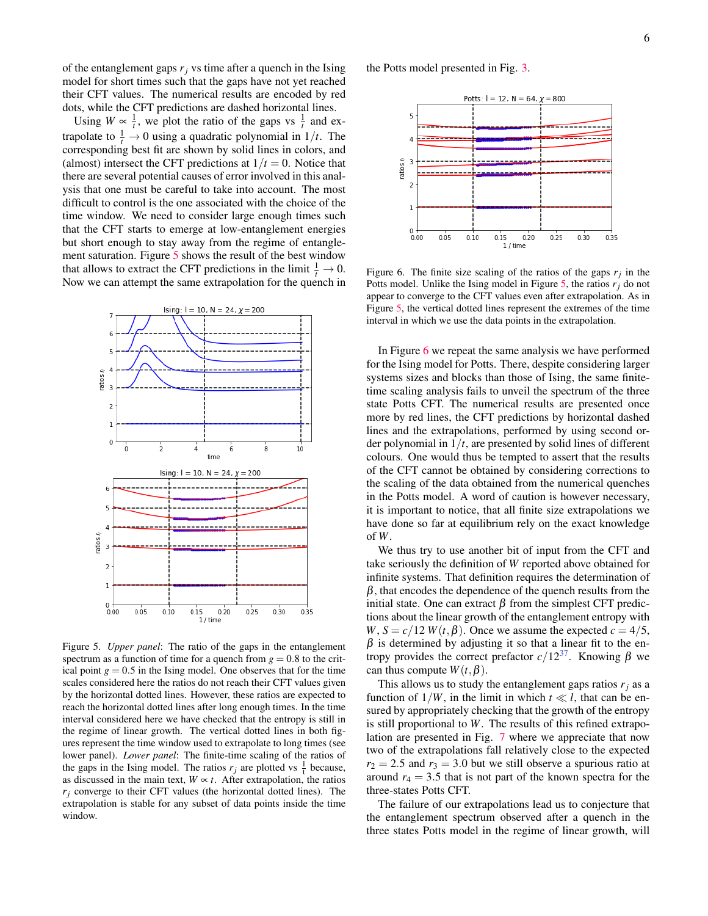of the entanglement gaps  $r_j$  vs time after a quench in the Ising model for short times such that the gaps have not yet reached their CFT values. The numerical results are encoded by red dots, while the CFT predictions are dashed horizontal lines.

Using  $W \propto \frac{1}{t}$ , we plot the ratio of the gaps vs  $\frac{1}{t}$  and extrapolate to  $\frac{1}{t} \rightarrow 0$  using a quadratic polynomial in  $1/t$ . The corresponding best fit are shown by solid lines in colors, and (almost) intersect the CFT predictions at  $1/t = 0$ . Notice that there are several potential causes of error involved in this analysis that one must be careful to take into account. The most difficult to control is the one associated with the choice of the time window. We need to consider large enough times such that the CFT starts to emerge at low-entanglement energies but short enough to stay away from the regime of entanglement saturation. Figure [5](#page-5-0) shows the result of the best window that allows to extract the CFT predictions in the limit  $\frac{1}{t} \to 0$ . Now we can attempt the same extrapolation for the quench in



<span id="page-5-0"></span>Figure 5. *Upper panel*: The ratio of the gaps in the entanglement spectrum as a function of time for a quench from  $g = 0.8$  to the critical point  $g = 0.5$  in the Ising model. One observes that for the time scales considered here the ratios do not reach their CFT values given by the horizontal dotted lines. However, these ratios are expected to reach the horizontal dotted lines after long enough times. In the time interval considered here we have checked that the entropy is still in the regime of linear growth. The vertical dotted lines in both figures represent the time window used to extrapolate to long times (see lower panel). *Lower panel*: The finite-time scaling of the ratios of the gaps in the Ising model. The ratios  $r_j$  are plotted vs  $\frac{1}{t}$  because, as discussed in the main text,  $W \propto t$ . After extrapolation, the ratios  $r_i$  converge to their CFT values (the horizontal dotted lines). The extrapolation is stable for any subset of data points inside the time window.

the Potts model presented in Fig. [3.](#page-4-1)



<span id="page-5-1"></span>Figure 6. The finite size scaling of the ratios of the gaps  $r_j$  in the Potts model. Unlike the Ising model in Figure [5,](#page-5-0) the ratios *rj* do not appear to converge to the CFT values even after extrapolation. As in Figure [5,](#page-5-0) the vertical dotted lines represent the extremes of the time interval in which we use the data points in the extrapolation.

In Figure [6](#page-5-1) we repeat the same analysis we have performed for the Ising model for Potts. There, despite considering larger systems sizes and blocks than those of Ising, the same finitetime scaling analysis fails to unveil the spectrum of the three state Potts CFT. The numerical results are presented once more by red lines, the CFT predictions by horizontal dashed lines and the extrapolations, performed by using second order polynomial in  $1/t$ , are presented by solid lines of different colours. One would thus be tempted to assert that the results of the CFT cannot be obtained by considering corrections to the scaling of the data obtained from the numerical quenches in the Potts model. A word of caution is however necessary, it is important to notice, that all finite size extrapolations we have done so far at equilibrium rely on the exact knowledge of *W*.

We thus try to use another bit of input from the CFT and take seriously the definition of *W* reported above obtained for infinite systems. That definition requires the determination of  $\beta$ , that encodes the dependence of the quench results from the initial state. One can extract  $β$  from the simplest CFT predictions about the linear growth of the entanglement entropy with *W*,  $S = c/12$  *W*(*t*, $\beta$ ). Once we assume the expected  $c = 4/5$ ,  $\beta$  is determined by adjusting it so that a linear fit to the entropy provides the correct prefactor  $c/12^{37}$  $c/12^{37}$  $c/12^{37}$ . Knowing β we can thus compute  $W(t, \beta)$ .

This allows us to study the entanglement gaps ratios  $r_i$  as a function of  $1/W$ , in the limit in which  $t \ll l$ , that can be ensured by appropriately checking that the growth of the entropy is still proportional to *W*. The results of this refined extrapolation are presented in Fig. [7](#page-6-0) where we appreciate that now two of the extrapolations fall relatively close to the expected  $r_2 = 2.5$  and  $r_3 = 3.0$  but we still observe a spurious ratio at around  $r_4 = 3.5$  that is not part of the known spectra for the three-states Potts CFT.

The failure of our extrapolations lead us to conjecture that the entanglement spectrum observed after a quench in the three states Potts model in the regime of linear growth, will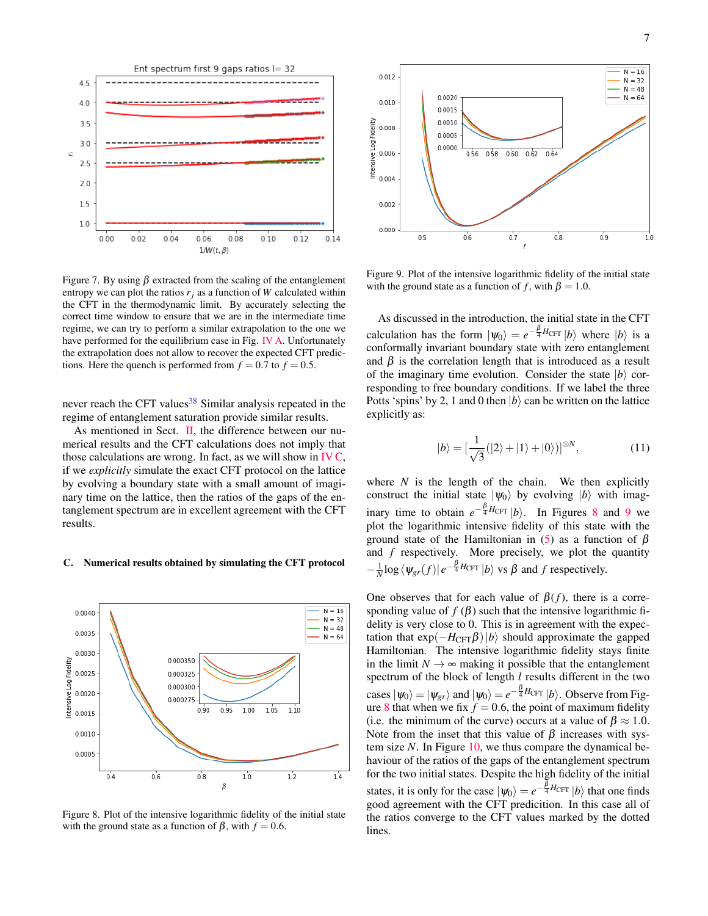

<span id="page-6-0"></span>Figure 7. By using  $\beta$  extracted from the scaling of the entanglement entropy we can plot the ratios  $r_i$  as a function of *W* calculated within the CFT in the thermodynamic limit. By accurately selecting the correct time window to ensure that we are in the intermediate time regime, we can try to perform a similar extrapolation to the one we have performed for the equilibrium case in Fig. [IV A.](#page-3-1) Unfortunately the extrapolation does not allow to recover the expected CFT predictions. Here the quench is performed from  $f = 0.7$  to  $f = 0.5$ .

never reach the CFT values<sup>[38](#page-8-27)</sup> Similar analysis repeated in the regime of entanglement saturation provide similar results.

As mentioned in Sect. [II,](#page-1-2) the difference between our numerical results and the CFT calculations does not imply that those calculations are wrong. In fact, as we will show in  $IVC$ , if we *explicitly* simulate the exact CFT protocol on the lattice by evolving a boundary state with a small amount of imaginary time on the lattice, then the ratios of the gaps of the entanglement spectrum are in excellent agreement with the CFT results.

### <span id="page-6-1"></span>C. Numerical results obtained by simulating the CFT protocol



<span id="page-6-2"></span>Figure 8. Plot of the intensive logarithmic fidelity of the initial state with the ground state as a function of  $\beta$ , with  $f = 0.6$ .



<span id="page-6-3"></span>Figure 9. Plot of the intensive logarithmic fidelity of the initial state with the ground state as a function of *f*, with  $\beta = 1.0$ .

As discussed in the introduction, the initial state in the CFT calculation has the form  $|\psi_0\rangle = e^{-\frac{\beta}{4}H_{\text{CFT}}} |b\rangle$  where  $|b\rangle$  is a conformally invariant boundary state with zero entanglement and  $\beta$  is the correlation length that is introduced as a result of the imaginary time evolution. Consider the state  $|b\rangle$  corresponding to free boundary conditions. If we label the three Potts 'spins' by 2, 1 and 0 then  $|b\rangle$  can be written on the lattice explicitly as:

$$
|b\rangle = \left[\frac{1}{\sqrt{3}}(|2\rangle + |1\rangle + |0\rangle)\right]^{\otimes N},\tag{11}
$$

where  $N$  is the length of the chain. We then explicitly construct the initial state  $|\psi_0\rangle$  by evolving  $|b\rangle$  with imaginary time to obtain  $e^{-\frac{\beta}{4}H_{\text{CFT}}}|b\rangle$ . In Figures [8](#page-6-2) and [9](#page-6-3) we plot the logarithmic intensive fidelity of this state with the ground state of the Hamiltonian in [\(5\)](#page-2-3) as a function of  $β$ and *f* respectively. More precisely, we plot the quantity  $-\frac{1}{N}\log \langle \psi_{gr}(f)| e^{-\frac{\beta}{4}H_{\text{CFT}}} |b\rangle$  vs  $\beta$  and  $f$  respectively.

One observes that for each value of  $\beta(f)$ , there is a corresponding value of  $f(\beta)$  such that the intensive logarithmic fidelity is very close to 0. This is in agreement with the expectation that  $\exp(-H_{\text{CFT}}\beta)|b\rangle$  should approximate the gapped Hamiltonian. The intensive logarithmic fidelity stays finite in the limit  $N \rightarrow \infty$  making it possible that the entanglement spectrum of the block of length *l* results different in the two cases  $|\psi_0\rangle = |\psi_{gr}\rangle$  and  $|\psi_0\rangle = e^{-\frac{\beta}{4}H_{\text{CFT}}}|b\rangle$ . Observe from Fig-ure [8](#page-6-2) that when we fix  $f = 0.6$ , the point of maximum fidelity (i.e. the minimum of the curve) occurs at a value of  $\beta \approx 1.0$ . Note from the inset that this value of  $\beta$  increases with system size *N*. In Figure [10,](#page-7-0) we thus compare the dynamical behaviour of the ratios of the gaps of the entanglement spectrum for the two initial states. Despite the high fidelity of the initial states, it is only for the case  $|\psi_0\rangle = e^{-\frac{\beta}{4}H_{\text{CFT}}}|b\rangle$  that one finds good agreement with the CFT predicition. In this case all of the ratios converge to the CFT values marked by the dotted lines.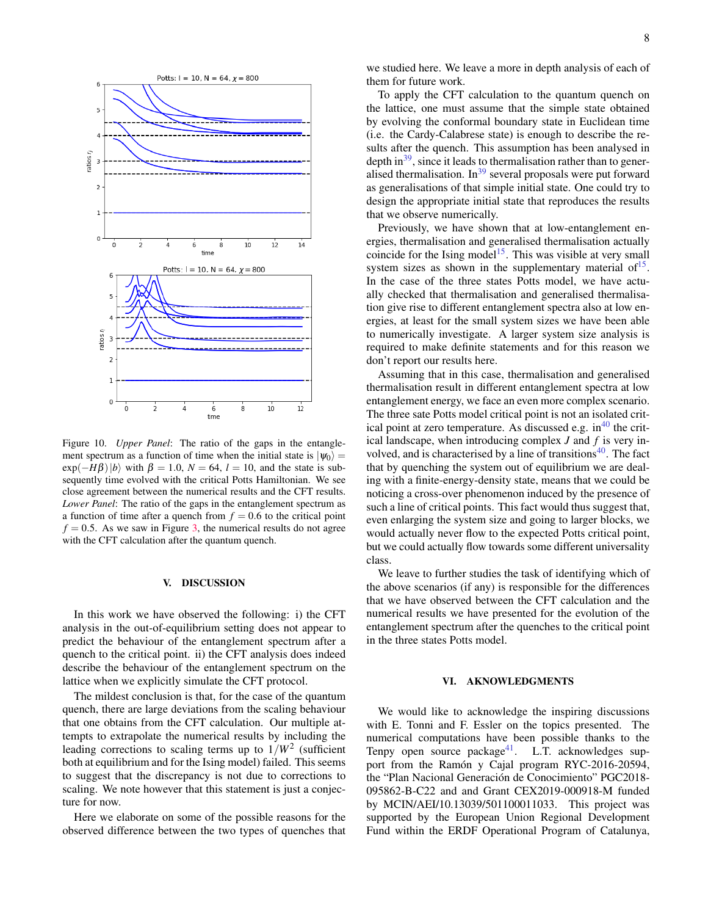

<span id="page-7-0"></span>Figure 10. *Upper Panel*: The ratio of the gaps in the entanglement spectrum as a function of time when the initial state is  $|\psi_0\rangle$  =  $\exp(-H\beta)|b\rangle$  with  $\beta = 1.0, N = 64, l = 10$ , and the state is subsequently time evolved with the critical Potts Hamiltonian. We see close agreement between the numerical results and the CFT results. *Lower Panel*: The ratio of the gaps in the entanglement spectrum as a function of time after a quench from  $f = 0.6$  to the critical point  $f = 0.5$ . As we saw in Figure [3,](#page-4-1) the numerical results do not agree with the CFT calculation after the quantum quench.

### V. DISCUSSION

In this work we have observed the following: i) the CFT analysis in the out-of-equilibrium setting does not appear to predict the behaviour of the entanglement spectrum after a quench to the critical point. ii) the CFT analysis does indeed describe the behaviour of the entanglement spectrum on the lattice when we explicitly simulate the CFT protocol.

The mildest conclusion is that, for the case of the quantum quench, there are large deviations from the scaling behaviour that one obtains from the CFT calculation. Our multiple attempts to extrapolate the numerical results by including the leading corrections to scaling terms up to  $1/W^2$  (sufficient both at equilibrium and for the Ising model) failed. This seems to suggest that the discrepancy is not due to corrections to scaling. We note however that this statement is just a conjecture for now.

Here we elaborate on some of the possible reasons for the observed difference between the two types of quenches that

To apply the CFT calculation to the quantum quench on the lattice, one must assume that the simple state obtained by evolving the conformal boundary state in Euclidean time (i.e. the Cardy-Calabrese state) is enough to describe the results after the quench. This assumption has been analysed in depth in $39$ , since it leads to thermalisation rather than to gener-alised thermalisation. In<sup>[39](#page-8-28)</sup> several proposals were put forward as generalisations of that simple initial state. One could try to design the appropriate initial state that reproduces the results that we observe numerically.

Previously, we have shown that at low-entanglement energies, thermalisation and generalised thermalisation actually coincide for the Ising model<sup>[15](#page-8-10)</sup>. This was visible at very small system sizes as shown in the supplementary material of  $15$ . In the case of the three states Potts model, we have actually checked that thermalisation and generalised thermalisation give rise to different entanglement spectra also at low energies, at least for the small system sizes we have been able to numerically investigate. A larger system size analysis is required to make definite statements and for this reason we don't report our results here.

Assuming that in this case, thermalisation and generalised thermalisation result in different entanglement spectra at low entanglement energy, we face an even more complex scenario. The three sate Potts model critical point is not an isolated critical point at zero temperature. As discussed e.g.  $in<sup>40</sup>$  $in<sup>40</sup>$  $in<sup>40</sup>$  the critical landscape, when introducing complex *J* and *f* is very involved, and is characterised by a line of transitions $40$ . The fact that by quenching the system out of equilibrium we are dealing with a finite-energy-density state, means that we could be noticing a cross-over phenomenon induced by the presence of such a line of critical points. This fact would thus suggest that, even enlarging the system size and going to larger blocks, we would actually never flow to the expected Potts critical point, but we could actually flow towards some different universality class.

We leave to further studies the task of identifying which of the above scenarios (if any) is responsible for the differences that we have observed between the CFT calculation and the numerical results we have presented for the evolution of the entanglement spectrum after the quenches to the critical point in the three states Potts model.

## VI. AKNOWLEDGMENTS

We would like to acknowledge the inspiring discussions with E. Tonni and F. Essler on the topics presented. The numerical computations have been possible thanks to the Tenpy open source package<sup>[41](#page-8-30)</sup>. L.T. acknowledges support from the Ramón y Cajal program RYC-2016-20594, the "Plan Nacional Generación de Conocimiento" PGC2018-095862-B-C22 and and Grant CEX2019-000918-M funded by MCIN/AEI/10.13039/501100011033. This project was supported by the European Union Regional Development Fund within the ERDF Operational Program of Catalunya,